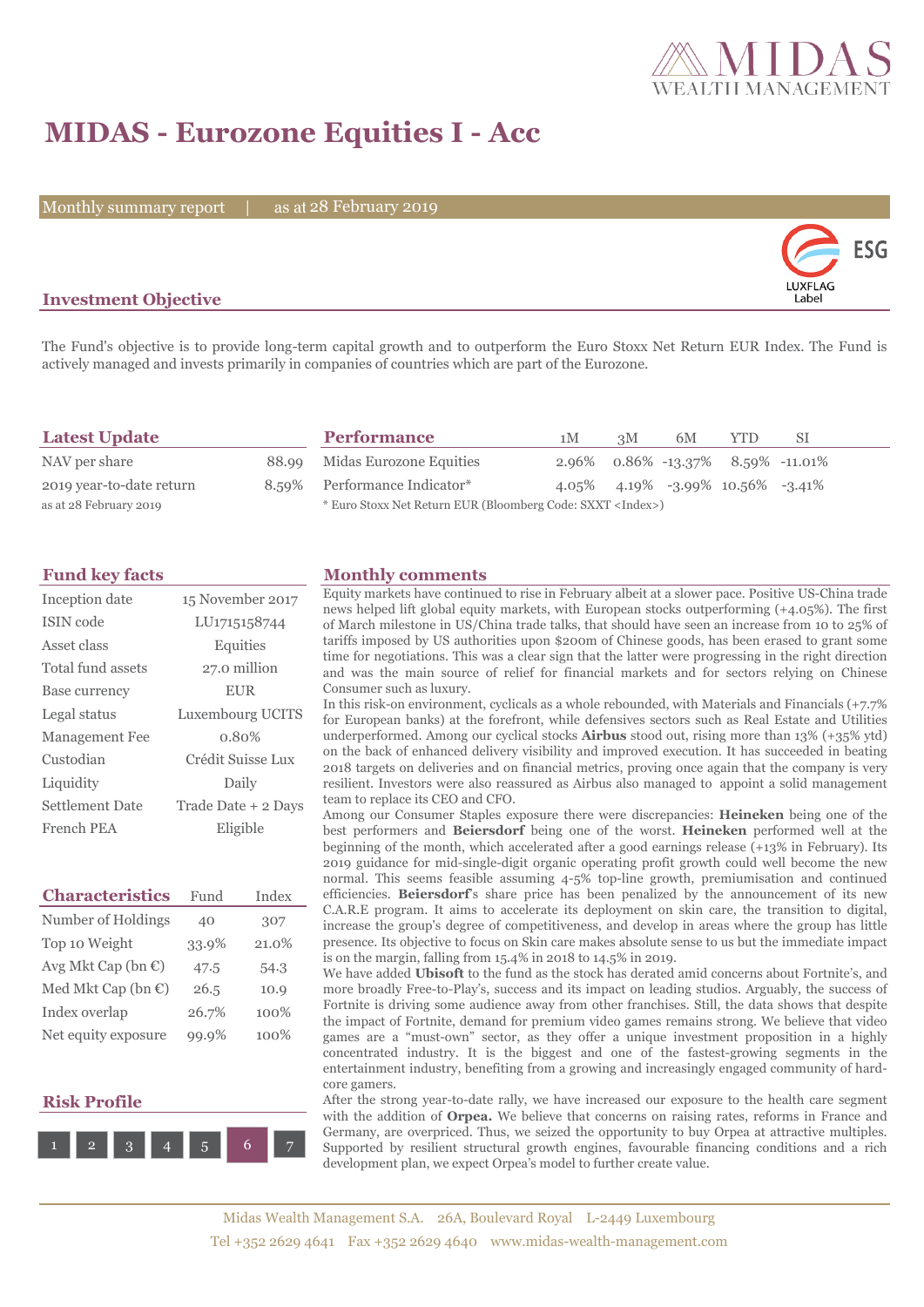

## **MIDAS - Eurozone Equities I - Acc**

Monthly summary report | as at 28 February 2019



### **Investment Objective**

The Fund's objective is to provide long-term capital growth and to outperform the Euro Stoxx Net Return EUR Index. The Fund is actively managed and invests primarily in companies of countries which are part of the Eurozone.

| <b>Latest Update</b>     |  | <b>Performance</b>                                                 | 1М                                   | 3M | 6M                                              | <b>YTD</b> | -SI |
|--------------------------|--|--------------------------------------------------------------------|--------------------------------------|----|-------------------------------------------------|------------|-----|
| NAV per share            |  | 88.99 Midas Eurozone Equities                                      | $2.96\%$ 0.86% -13.37% 8.59% -11.01% |    |                                                 |            |     |
| 2019 year-to-date return |  | 8.59% Performance Indicator*                                       |                                      |    | $4.05\%$ $4.19\%$ $-3.99\%$ $10.56\%$ $-3.41\%$ |            |     |
| as at 28 February 2019   |  | * Euro Stoxx Net Return EUR (Bloomberg Code: SXXT <index>)</index> |                                      |    |                                                 |            |     |

| Inception date        | 15 November 2017    |
|-----------------------|---------------------|
| ISIN code             | LU1715158744        |
| Asset class           | Equities            |
| Total fund assets     | 27.0 million        |
| Base currency         | <b>EUR</b>          |
| Legal status          | Luxembourg UCITS    |
| <b>Management Fee</b> | 0.80%               |
| Custodian             | Crédit Suisse Lux   |
| Liquidity             | Daily               |
| Settlement Date       | Trade Date + 2 Days |
| French PEA            | Eligible            |

| <b>Characteristics</b>         | Fund  | Index |
|--------------------------------|-------|-------|
| Number of Holdings             | 40    | 307   |
| Top 10 Weight                  | 33.9% | 21.0% |
| Avg Mkt Cap (bn $\mathbb{C}$ ) | 47.5  | 54.3  |
| Med Mkt Cap (bn €)             | 26.5  | 10.9  |
| Index overlap                  | 26.7% | 100%  |
| Net equity exposure            | 99.9% | 100%  |

### **Risk Profile**



### **Fund key facts Monthly comments**

Equity markets have continued to rise in February albeit at a slower pace. Positive US-China trade news helped lift global equity markets, with European stocks outperforming (+4.05%). The first of March milestone in US/China trade talks, that should have seen an increase from 10 to 25% of tariffs imposed by US authorities upon \$200m of Chinese goods, has been erased to grant some time for negotiations. This was a clear sign that the latter were progressing in the right direction and was the main source of relief for financial markets and for sectors relying on Chinese Consumer such as luxury.

In this risk-on environment, cyclicals as a whole rebounded, with Materials and Financials (+7.7% for European banks) at the forefront, while defensives sectors such as Real Estate and Utilities underperformed. Among our cyclical stocks **Airbus** stood out, rising more than 13% (+35% ytd) on the back of enhanced delivery visibility and improved execution. It has succeeded in beating 2018 targets on deliveries and on financial metrics, proving once again that the company is very resilient. Investors were also reassured as Airbus also managed to appoint a solid management team to replace its CEO and CFO.

Among our Consumer Staples exposure there were discrepancies: **Heineken** being one of the best performers and **Beiersdorf** being one of the worst. **Heineken** performed well at the beginning of the month, which accelerated after a good earnings release (+13% in February). Its 2019 guidance for mid-single-digit organic operating profit growth could well become the new normal. This seems feasible assuming 4-5% top-line growth, premiumisation and continued efficiencies. **Beiersdorf**'s share price has been penalized by the announcement of its new C.A.R.E program. It aims to accelerate its deployment on skin care, the transition to digital, increase the group's degree of competitiveness, and develop in areas where the group has little presence. Its objective to focus on Skin care makes absolute sense to us but the immediate impact is on the margin, falling from 15.4% in 2018 to 14.5% in 2019.

We have added **Ubisoft** to the fund as the stock has derated amid concerns about Fortnite's, and more broadly Free-to-Play's, success and its impact on leading studios. Arguably, the success of Fortnite is driving some audience away from other franchises. Still, the data shows that despite the impact of Fortnite, demand for premium video games remains strong. We believe that video games are a "must-own" sector, as they offer a unique investment proposition in a highly concentrated industry. It is the biggest and one of the fastest-growing segments in the entertainment industry, benefiting from a growing and increasingly engaged community of hardcore gamers.

After the strong year-to-date rally, we have increased our exposure to the health care segment with the addition of **Orpea.** We believe that concerns on raising rates, reforms in France and Germany, are overpriced. Thus, we seized the opportunity to buy Orpea at attractive multiples. Supported by resilient structural growth engines, favourable financing conditions and a rich development plan, we expect Orpea's model to further create value.